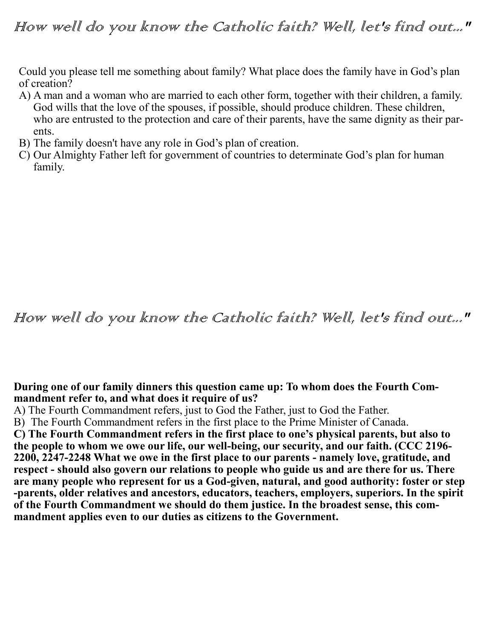Could you please tell me something about family? What place does the family have in God's plan of creation?

- A) A man and a woman who are married to each other form, together with their children, a family. God wills that the love of the spouses, if possible, should produce children. These children, who are entrusted to the protection and care of their parents, have the same dignity as their parents.
- B) The family doesn't have any role in God's plan of creation.
- C) Our Almighty Father left for government of countries to determinate God's plan for human family.

## How well do you know the Catholic faith? Well, let's find out..."

## **During one of our family dinners this question came up: To whom does the Fourth Commandment refer to, and what does it require of us?**

A) The Fourth Commandment refers, just to God the Father, just to God the Father.

B) The Fourth Commandment refers in the first place to the Prime Minister of Canada.

**C) The Fourth Commandment refers in the first place to one's physical parents, but also to the people to whom we owe our life, our well-being, our security, and our faith. (CCC 2196- 2200, 2247-2248 What we owe in the first place to our parents - namely love, gratitude, and respect - should also govern our relations to people who guide us and are there for us. There are many people who represent for us a God-given, natural, and good authority: foster or step -parents, older relatives and ancestors, educators, teachers, employers, superiors. In the spirit of the Fourth Commandment we should do them justice. In the broadest sense, this commandment applies even to our duties as citizens to the Government.**